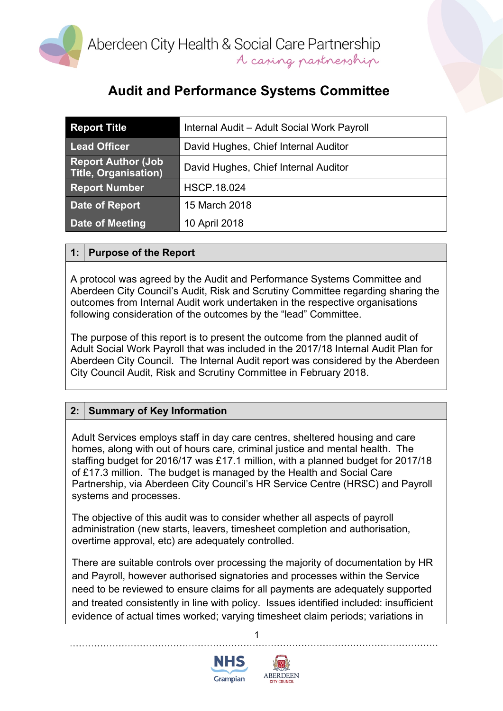

# **Audit and Performance Systems Committee**

| <b>Report Title</b>                                       | Internal Audit - Adult Social Work Payroll |
|-----------------------------------------------------------|--------------------------------------------|
| <b>Lead Officer</b>                                       | David Hughes, Chief Internal Auditor       |
| <b>Report Author (Job)</b><br><b>Title, Organisation)</b> | David Hughes, Chief Internal Auditor       |
| <b>Report Number</b>                                      | <b>HSCP.18.024</b>                         |
| Date of Report                                            | 15 March 2018                              |
| Date of Meeting                                           | 10 April 2018                              |

#### **1: Purpose of the Report**

A protocol was agreed by the Audit and Performance Systems Committee and Aberdeen City Council's Audit, Risk and Scrutiny Committee regarding sharing the outcomes from Internal Audit work undertaken in the respective organisations following consideration of the outcomes by the "lead" Committee.

The purpose of this report is to present the outcome from the planned audit of Adult Social Work Payroll that was included in the 2017/18 Internal Audit Plan for Aberdeen City Council. The Internal Audit report was considered by the Aberdeen City Council Audit, Risk and Scrutiny Committee in February 2018.

## **2: Summary of Key Information**

Adult Services employs staff in day care centres, sheltered housing and care homes, along with out of hours care, criminal justice and mental health. The staffing budget for 2016/17 was £17.1 million, with a planned budget for 2017/18 of £17.3 million. The budget is managed by the Health and Social Care Partnership, via Aberdeen City Council's HR Service Centre (HRSC) and Payroll systems and processes.

The objective of this audit was to consider whether all aspects of payroll administration (new starts, leavers, timesheet completion and authorisation, overtime approval, etc) are adequately controlled.

There are suitable controls over processing the majority of documentation by HR and Payroll, however authorised signatories and processes within the Service need to be reviewed to ensure claims for all payments are adequately supported and treated consistently in line with policy. Issues identified included: insufficient evidence of actual times worked; varying timesheet claim periods; variations in

1



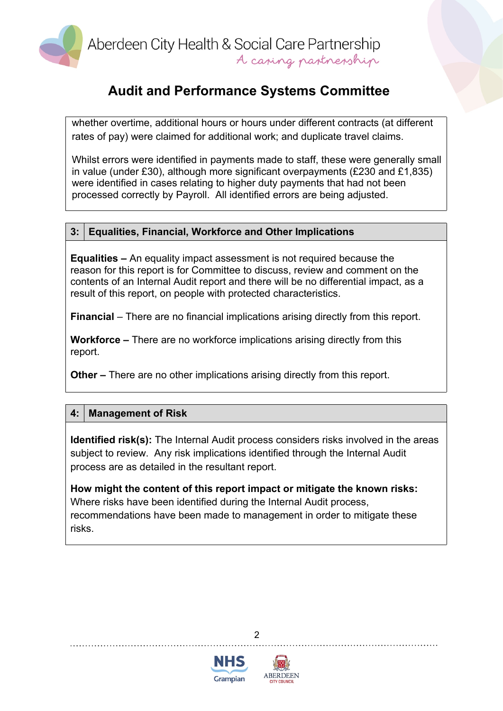

## **Audit and Performance Systems Committee**

whether overtime, additional hours or hours under different contracts (at different rates of pay) were claimed for additional work; and duplicate travel claims.

Whilst errors were identified in payments made to staff, these were generally small in value (under £30), although more significant overpayments (£230 and £1,835) were identified in cases relating to higher duty payments that had not been processed correctly by Payroll. All identified errors are being adjusted.

#### **3: Equalities, Financial, Workforce and Other Implications**

**Equalities –** An equality impact assessment is not required because the reason for this report is for Committee to discuss, review and comment on the contents of an Internal Audit report and there will be no differential impact, as a result of this report, on people with protected characteristics.

**Financial** – There are no financial implications arising directly from this report.

**Workforce –** There are no workforce implications arising directly from this report.

**Other –** There are no other implications arising directly from this report.

#### **4: Management of Risk**

**Identified risk(s):** The Internal Audit process considers risks involved in the areas subject to review. Any risk implications identified through the Internal Audit process are as detailed in the resultant report.

**How might the content of this report impact or mitigate the known risks:** Where risks have been identified during the Internal Audit process, recommendations have been made to management in order to mitigate these risks.





 $\mathfrak{p}$